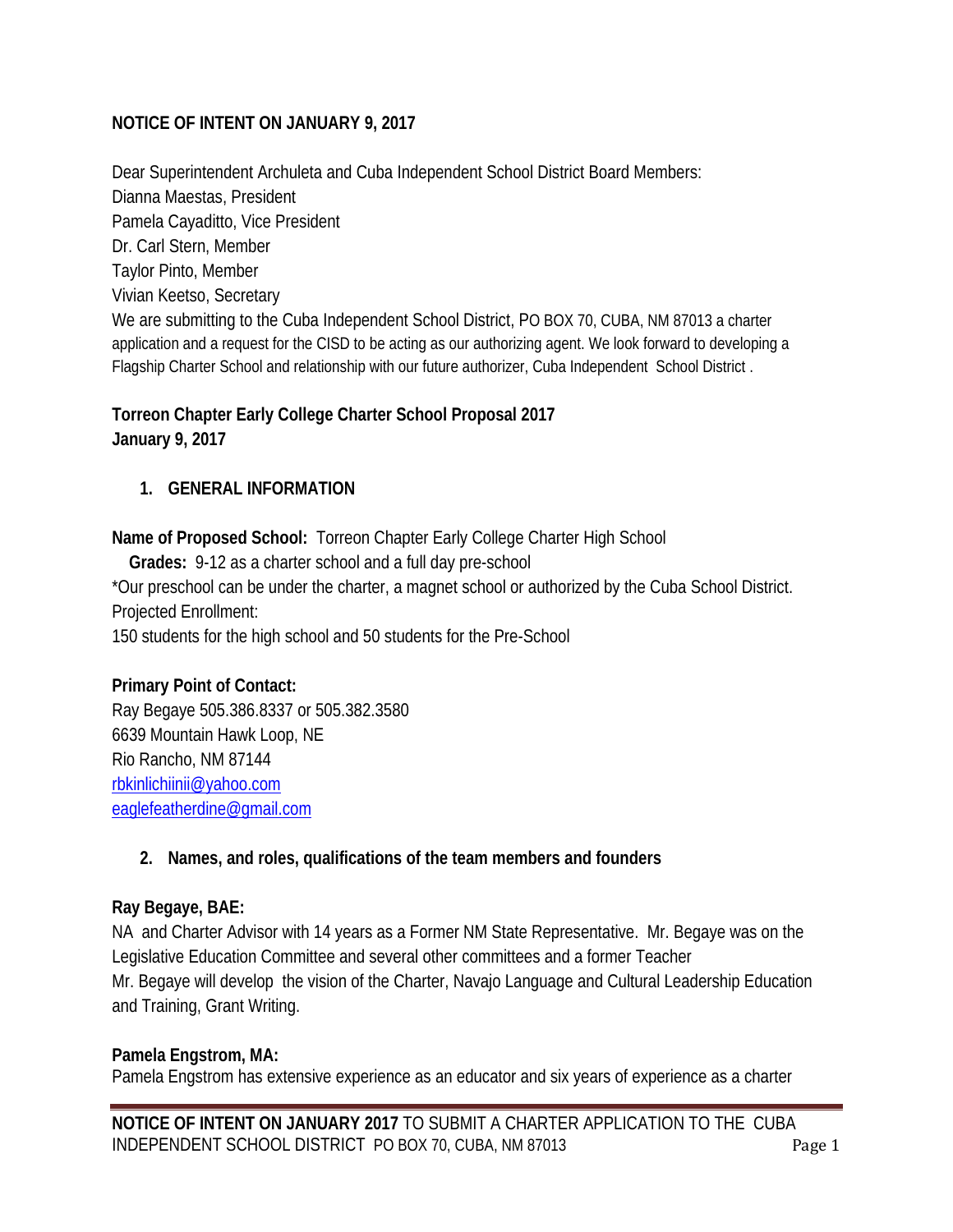### **NOTICE OF INTENT ON JANUARY 9, 2017**

Dear Superintendent Archuleta and Cuba Independent School District Board Members: Dianna Maestas, President Pamela Cayaditto, Vice President Dr. Carl Stern, Member Taylor Pinto, Member Vivian Keetso, Secretary We are submitting to the Cuba Independent School District, PO BOX 70, CUBA, NM 87013 a charter application and a request for the CISD to be acting as our authorizing agent. We look forward to developing a Flagship Charter School and relationship with our future authorizer, Cuba Independent School District .

### **Torreon Chapter Early College Charter School Proposal 2017 January 9, 2017**

### **1. GENERAL INFORMATION**

**Name of Proposed School:** Torreon Chapter Early College Charter High School

 **Grades:** 9-12 as a charter school and a full day pre-school \*Our preschool can be under the charter, a magnet school or authorized by the Cuba School District. Projected Enrollment: 150 students for the high school and 50 students for the Pre-School

### **Primary Point of Contact:**

Ray Begaye 505.386.8337 or 505.382.3580 6639 Mountain Hawk Loop, NE Rio Rancho, NM 87144 [rbkinlichiinii@yahoo.com](mailto:rbkinlichiinii@yahoo.com) [eaglefeatherdine@gmail.com](mailto:eaglefeatherdine@gmail.com)

### **2. Names, and roles, qualifications of the team members and founders**

#### **Ray Begaye, BAE:**

NA and Charter Advisor with 14 years as a Former NM State Representative. Mr. Begaye was on the Legislative Education Committee and several other committees and a former Teacher Mr. Begaye will develop the vision of the Charter, Navajo Language and Cultural Leadership Education and Training, Grant Writing.

#### **Pamela Engstrom, MA:**

Pamela Engstrom has extensive experience as an educator and six years of experience as a charter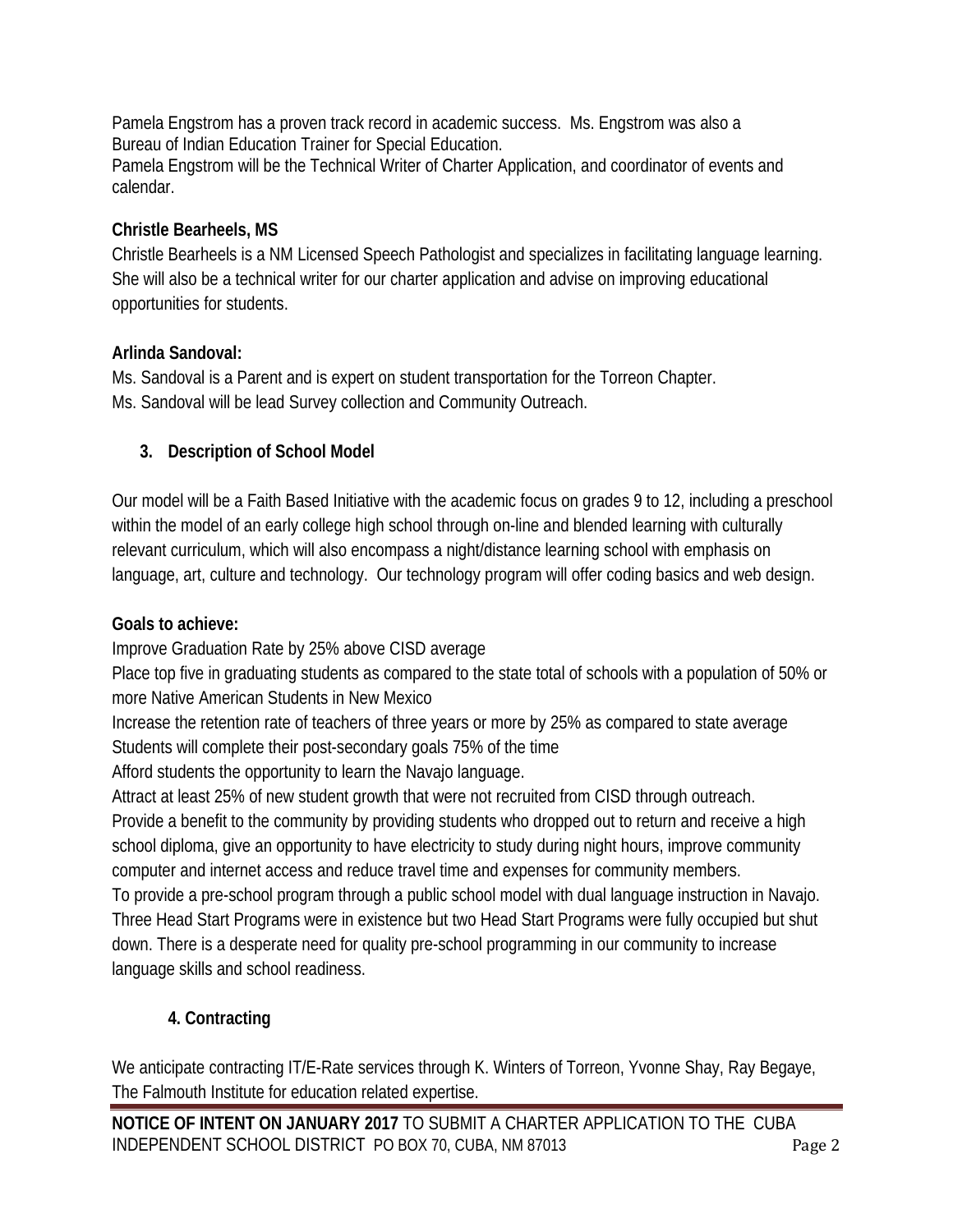Pamela Engstrom has a proven track record in academic success. Ms. Engstrom was also a Bureau of Indian Education Trainer for Special Education. Pamela Engstrom will be the Technical Writer of Charter Application, and coordinator of events and calendar.

## **Christle Bearheels, MS**

Christle Bearheels is a NM Licensed Speech Pathologist and specializes in facilitating language learning. She will also be a technical writer for our charter application and advise on improving educational opportunities for students.

## **Arlinda Sandoval:**

Ms. Sandoval is a Parent and is expert on student transportation for the Torreon Chapter. Ms. Sandoval will be lead Survey collection and Community Outreach.

## **3. Description of School Model**

Our model will be a Faith Based Initiative with the academic focus on grades 9 to 12, including a preschool within the model of an early college high school through on-line and blended learning with culturally relevant curriculum, which will also encompass a night/distance learning school with emphasis on language, art, culture and technology. Our technology program will offer coding basics and web design.

## **Goals to achieve:**

Improve Graduation Rate by 25% above CISD average

Place top five in graduating students as compared to the state total of schools with a population of 50% or more Native American Students in New Mexico

Increase the retention rate of teachers of three years or more by 25% as compared to state average Students will complete their post-secondary goals 75% of the time

Afford students the opportunity to learn the Navajo language.

Attract at least 25% of new student growth that were not recruited from CISD through outreach. Provide a benefit to the community by providing students who dropped out to return and receive a high school diploma, give an opportunity to have electricity to study during night hours, improve community computer and internet access and reduce travel time and expenses for community members.

To provide a pre-school program through a public school model with dual language instruction in Navajo. Three Head Start Programs were in existence but two Head Start Programs were fully occupied but shut down. There is a desperate need for quality pre-school programming in our community to increase language skills and school readiness.

# **4. Contracting**

We anticipate contracting IT/E-Rate services through K. Winters of Torreon, Yvonne Shay, Ray Begaye, The Falmouth Institute for education related expertise.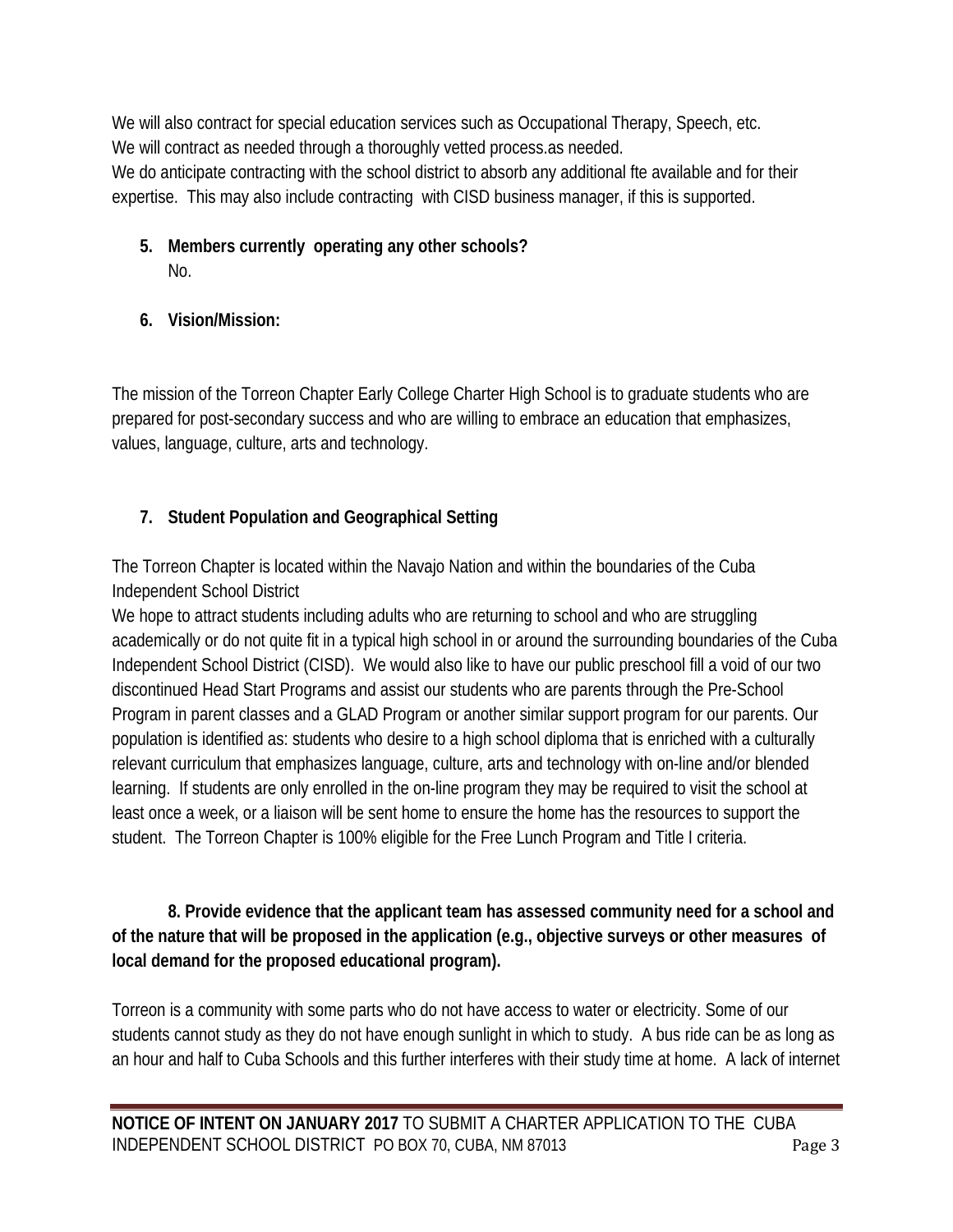We will also contract for special education services such as Occupational Therapy, Speech, etc. We will contract as needed through a thoroughly vetted process. as needed. We do anticipate contracting with the school district to absorb any additional fte available and for their expertise. This may also include contracting with CISD business manager, if this is supported.

## **5. Members currently operating any other schools?**  No.

# **6. Vision/Mission:**

The mission of the Torreon Chapter Early College Charter High School is to graduate students who are prepared for post-secondary success and who are willing to embrace an education that emphasizes, values, language, culture, arts and technology.

# **7. Student Population and Geographical Setting**

The Torreon Chapter is located within the Navajo Nation and within the boundaries of the Cuba Independent School District

We hope to attract students including adults who are returning to school and who are struggling academically or do not quite fit in a typical high school in or around the surrounding boundaries of the Cuba Independent School District (CISD). We would also like to have our public preschool fill a void of our two discontinued Head Start Programs and assist our students who are parents through the Pre-School Program in parent classes and a GLAD Program or another similar support program for our parents. Our population is identified as: students who desire to a high school diploma that is enriched with a culturally relevant curriculum that emphasizes language, culture, arts and technology with on-line and/or blended learning. If students are only enrolled in the on-line program they may be required to visit the school at least once a week, or a liaison will be sent home to ensure the home has the resources to support the student. The Torreon Chapter is 100% eligible for the Free Lunch Program and Title I criteria.

## **8. Provide evidence that the applicant team has assessed community need for a school and of the nature that will be proposed in the application (e.g., objective surveys or other measures of local demand for the proposed educational program).**

Torreon is a community with some parts who do not have access to water or electricity. Some of our students cannot study as they do not have enough sunlight in which to study. A bus ride can be as long as an hour and half to Cuba Schools and this further interferes with their study time at home. A lack of internet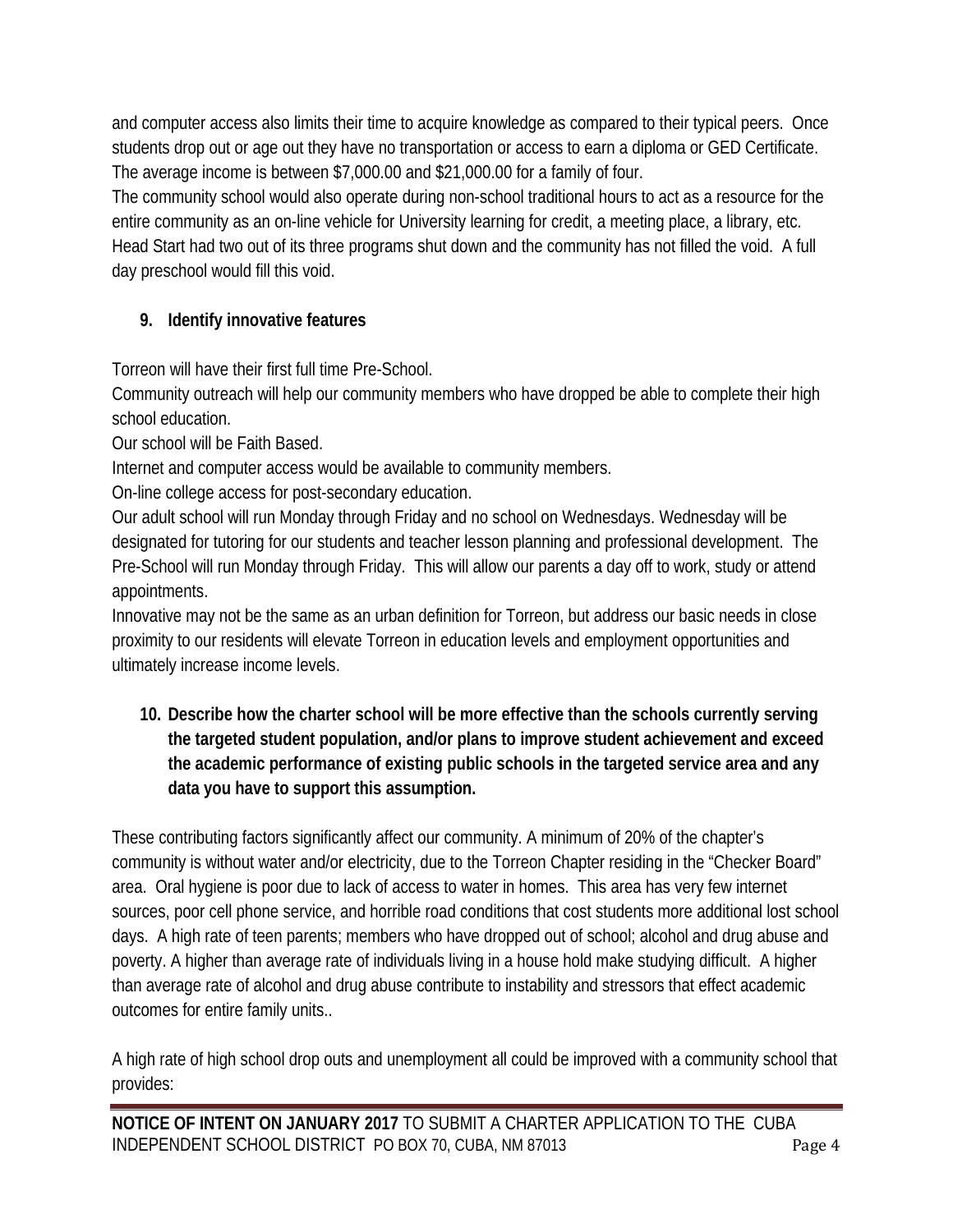and computer access also limits their time to acquire knowledge as compared to their typical peers. Once students drop out or age out they have no transportation or access to earn a diploma or GED Certificate. The average income is between \$7,000.00 and \$21,000.00 for a family of four.

The community school would also operate during non-school traditional hours to act as a resource for the entire community as an on-line vehicle for University learning for credit, a meeting place, a library, etc. Head Start had two out of its three programs shut down and the community has not filled the void. A full day preschool would fill this void.

# **9. Identify innovative features**

Torreon will have their first full time Pre-School.

Community outreach will help our community members who have dropped be able to complete their high school education.

Our school will be Faith Based.

Internet and computer access would be available to community members.

On-line college access for post-secondary education.

Our adult school will run Monday through Friday and no school on Wednesdays. Wednesday will be designated for tutoring for our students and teacher lesson planning and professional development. The Pre-School will run Monday through Friday. This will allow our parents a day off to work, study or attend appointments.

Innovative may not be the same as an urban definition for Torreon, but address our basic needs in close proximity to our residents will elevate Torreon in education levels and employment opportunities and ultimately increase income levels.

**10. Describe how the charter school will be more effective than the schools currently serving the targeted student population, and/or plans to improve student achievement and exceed the academic performance of existing public schools in the targeted service area and any data you have to support this assumption.**

These contributing factors significantly affect our community. A minimum of 20% of the chapter's community is without water and/or electricity, due to the Torreon Chapter residing in the "Checker Board" area. Oral hygiene is poor due to lack of access to water in homes. This area has very few internet sources, poor cell phone service, and horrible road conditions that cost students more additional lost school days. A high rate of teen parents; members who have dropped out of school; alcohol and drug abuse and poverty. A higher than average rate of individuals living in a house hold make studying difficult. A higher than average rate of alcohol and drug abuse contribute to instability and stressors that effect academic outcomes for entire family units..

A high rate of high school drop outs and unemployment all could be improved with a community school that provides: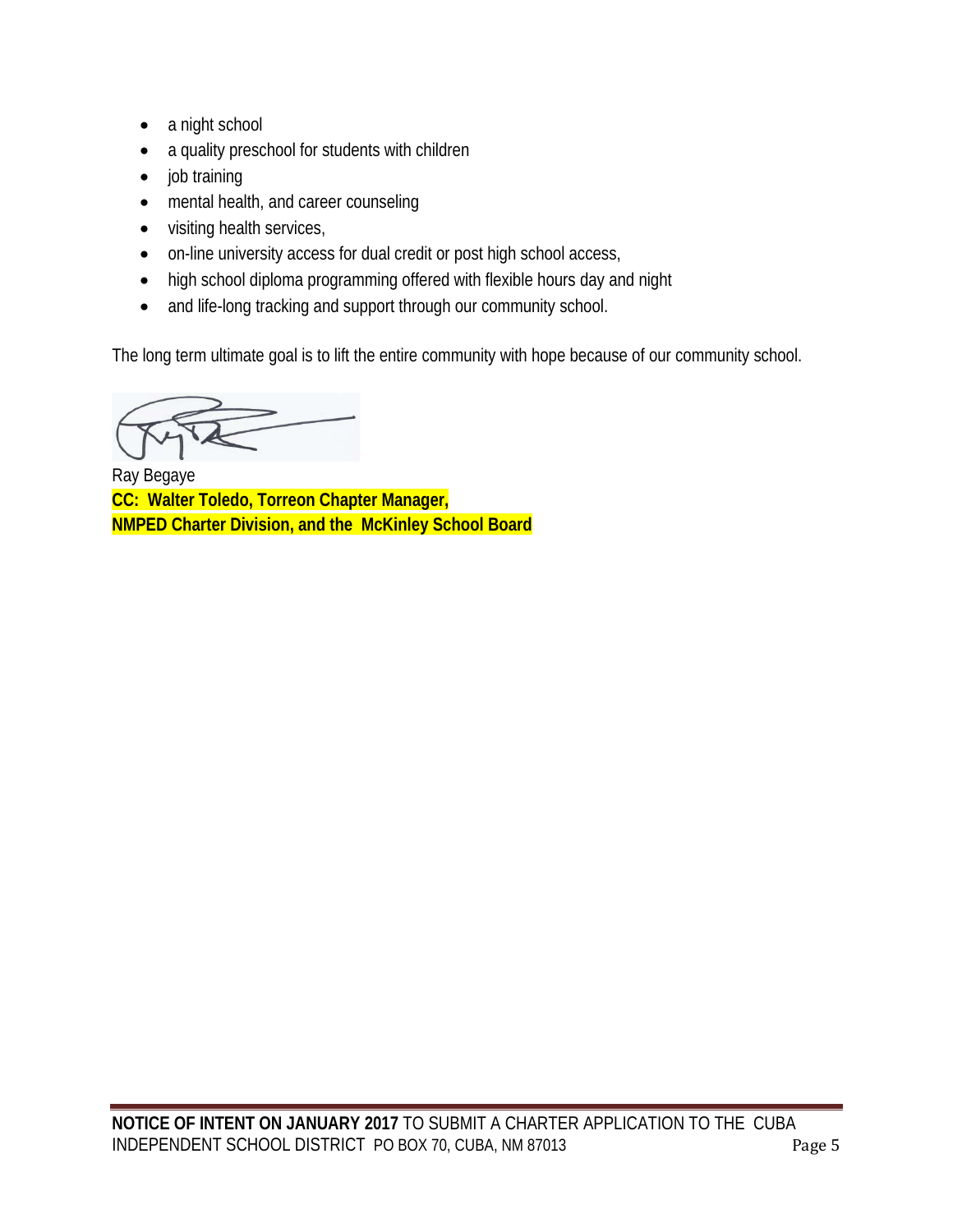- a night school
- a quality preschool for students with children
- job training
- mental health, and career counseling
- visiting health services,
- on-line university access for dual credit or post high school access,
- high school diploma programming offered with flexible hours day and night
- and life-long tracking and support through our community school.

The long term ultimate goal is to lift the entire community with hope because of our community school.

Ray Begaye **CC: Walter Toledo, Torreon Chapter Manager, NMPED Charter Division, and the McKinley School Board**